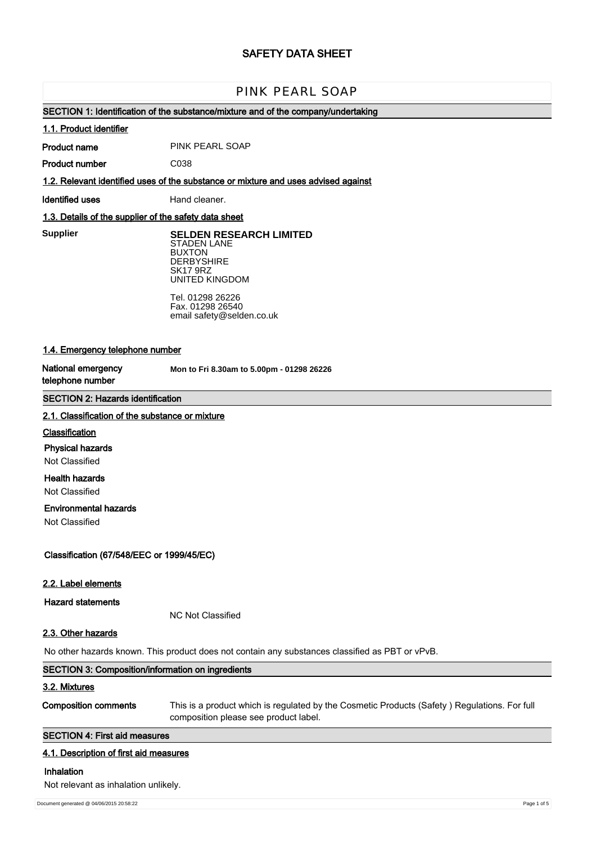# **SAFETY DATA SHEET**

# PINK PEARL SOAP

## **SECTION 1: Identification of the substance/mixture and of the company/undertaking**

#### **1.1. Product identifier**

**Product name** PINK PEARL SOAP

**Product number**

**1.2. Relevant identified uses of the substance or mixture and uses advised against**

**Identified uses** Hand cleaner.

C038

## **1.3. Details of the supplier of the safety data sheet**

**Supplier** 

**SELDEN RESEARCH LIMITED** STADEN LANE BUXTON **DERBYSHIRE** SK17 9RZ UNITED KINGDOM

Tel. 01298 26226 Fax. 01298 26540 email safety@selden.co.uk

## **1.4. Emergency telephone number**

**National emergency telephone number**

**Mon to Fri 8.30am to 5.00pm - 01298 26226**

## **SECTION 2: Hazards identification**

#### **2.1. Classification of the substance or mixture**

#### **Classification**

**Physical hazards**

Not Classified

## **Health hazards**

Not Classified

## **Environmental hazards**

Not Classified

**Classification (67/548/EEC or 1999/45/EC)**

#### **2.2. Label elements**

**Hazard statements**

NC Not Classified

#### **2.3. Other hazards**

No other hazards known. This product does not contain any substances classified as PBT or vPvB.

| SECTION 3: Composition/information on ingredients |                                                                                              |  |
|---------------------------------------------------|----------------------------------------------------------------------------------------------|--|
| 3.2. Mixtures                                     |                                                                                              |  |
| <b>Composition comments</b>                       | This is a product which is regulated by the Cosmetic Products (Safety) Regulations. For full |  |
|                                                   | composition please see product label.                                                        |  |

## **SECTION 4: First aid measures**

#### **4.1. Description of first aid measures**

## **Inhalation**

Not relevant as inhalation unlikely.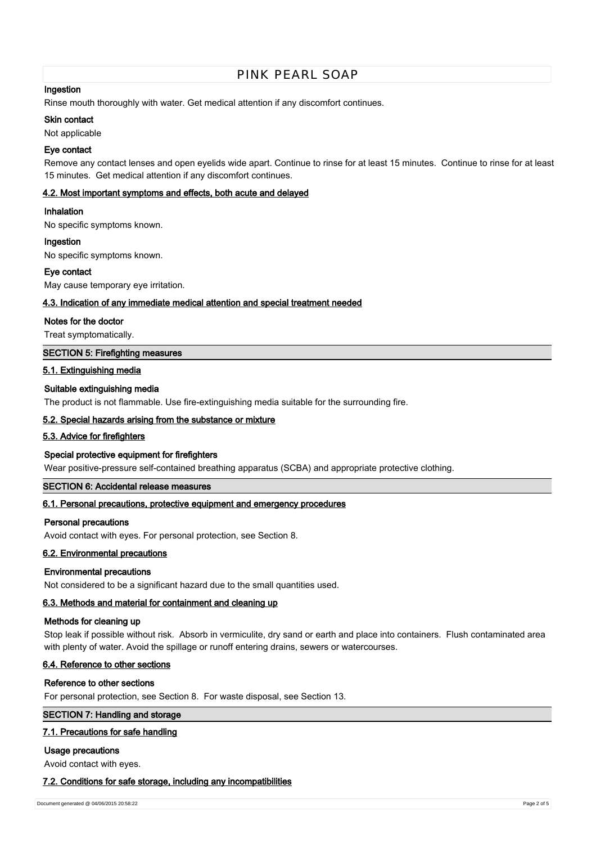# PINK PEARL SOAP

## **Ingestion**

Rinse mouth thoroughly with water. Get medical attention if any discomfort continues.

#### **Skin contact**

Not applicable

#### **Eye contact**

Remove any contact lenses and open eyelids wide apart. Continue to rinse for at least 15 minutes. Continue to rinse for at least 15 minutes. Get medical attention if any discomfort continues.

#### **4.2. Most important symptoms and effects, both acute and delayed**

#### **Inhalation**

No specific symptoms known.

#### **Ingestion**

No specific symptoms known.

#### **Eye contact**

May cause temporary eye irritation.

#### **4.3. Indication of any immediate medical attention and special treatment needed**

#### **Notes for the doctor**

Treat symptomatically.

## **SECTION 5: Firefighting measures**

#### **5.1. Extinguishing media**

## **Suitable extinguishing media**

The product is not flammable. Use fire-extinguishing media suitable for the surrounding fire.

#### **5.2. Special hazards arising from the substance or mixture**

## **5.3. Advice for firefighters**

## **Special protective equipment for firefighters**

Wear positive-pressure self-contained breathing apparatus (SCBA) and appropriate protective clothing.

## **SECTION 6: Accidental release measures**

## **6.1. Personal precautions, protective equipment and emergency procedures**

#### **Personal precautions**

Avoid contact with eyes. For personal protection, see Section 8.

## **6.2. Environmental precautions**

#### **Environmental precautions**

Not considered to be a significant hazard due to the small quantities used.

## **6.3. Methods and material for containment and cleaning up**

#### **Methods for cleaning up**

Stop leak if possible without risk. Absorb in vermiculite, dry sand or earth and place into containers. Flush contaminated area with plenty of water. Avoid the spillage or runoff entering drains, sewers or watercourses.

## **6.4. Reference to other sections**

#### **Reference to other sections**

For personal protection, see Section 8. For waste disposal, see Section 13.

#### **SECTION 7: Handling and storage**

## **7.1. Precautions for safe handling**

## **Usage precautions**

Avoid contact with eyes.

#### **7.2. Conditions for safe storage, including any incompatibilities**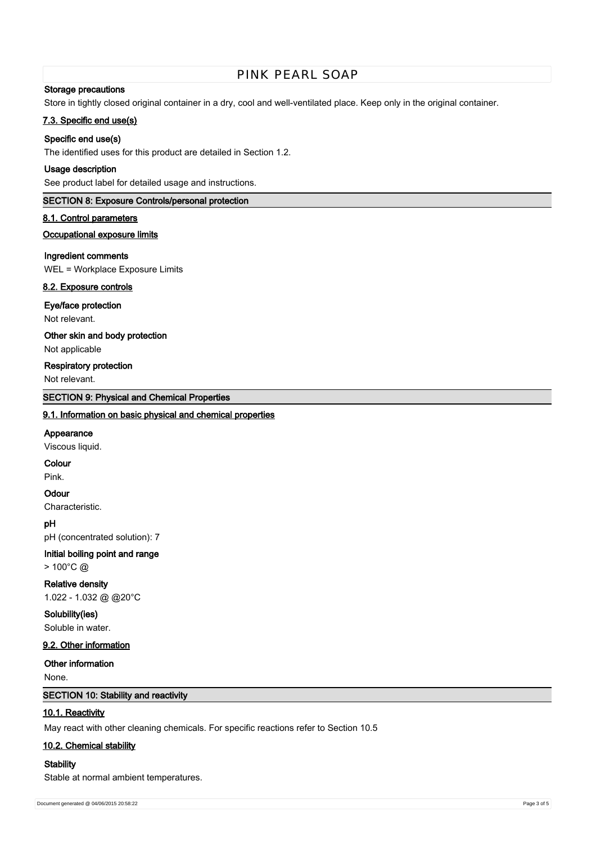# PINK PEARL SOAP

## **Storage precautions**

Store in tightly closed original container in a dry, cool and well-ventilated place. Keep only in the original container.

## **7.3. Specific end use(s)**

## **Specific end use(s)**

The identified uses for this product are detailed in Section 1.2.

## **Usage description**

See product label for detailed usage and instructions.

## **SECTION 8: Exposure Controls/personal protection**

#### **8.1. Control parameters**

## **Occupational exposure limits**

#### **Ingredient comments**

WEL = Workplace Exposure Limits

## **8.2. Exposure controls**

#### **Eye/face protection**

Not relevant.

**Other skin and body protection**

# Not applicable

## **Respiratory protection**

Not relevant.

## **SECTION 9: Physical and Chemical Properties**

#### **9.1. Information on basic physical and chemical properties**

#### **Appearance**

Viscous liquid.

#### **Colour**

Pink.

## **Odour**

Characteristic.

#### **pH**

pH (concentrated solution): 7

# **Initial boiling point and range**

> 100°C @

## **Relative density**

1.022 - 1.032 @ @20°C

# **Solubility(ies)**

Soluble in water.

## **9.2. Other information**

**Other information**

None.

## **SECTION 10: Stability and reactivity**

#### **10.1. Reactivity**

May react with other cleaning chemicals. For specific reactions refer to Section 10.5

#### **10.2. Chemical stability**

#### **Stability**

Stable at normal ambient temperatures.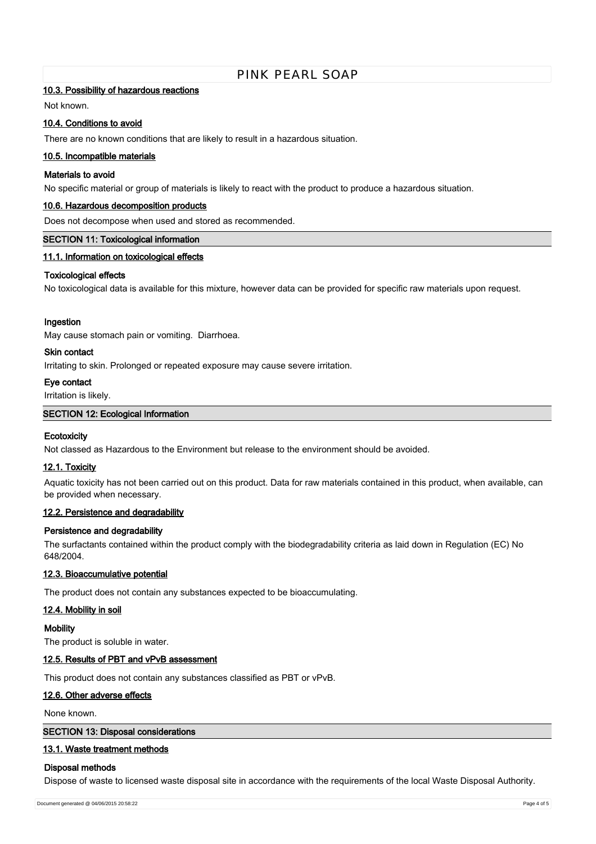# PINK PEARL SOAP

#### **10.3. Possibility of hazardous reactions**

Not known.

#### **10.4. Conditions to avoid**

There are no known conditions that are likely to result in a hazardous situation.

#### **10.5. Incompatible materials**

#### **Materials to avoid**

No specific material or group of materials is likely to react with the product to produce a hazardous situation.

#### **10.6. Hazardous decomposition products**

Does not decompose when used and stored as recommended.

## **SECTION 11: Toxicological information**

## **11.1. Information on toxicological effects**

#### **Toxicological effects**

No toxicological data is available for this mixture, however data can be provided for specific raw materials upon request.

#### **Ingestion**

May cause stomach pain or vomiting. Diarrhoea.

#### **Skin contact**

Irritating to skin. Prolonged or repeated exposure may cause severe irritation.

## **Eye contact**

Irritation is likely.

#### **SECTION 12: Ecological Information**

#### **Ecotoxicity**

Not classed as Hazardous to the Environment but release to the environment should be avoided.

#### **12.1. Toxicity**

Aquatic toxicity has not been carried out on this product. Data for raw materials contained in this product, when available, can be provided when necessary.

#### **12.2. Persistence and degradability**

#### **Persistence and degradability**

The surfactants contained within the product comply with the biodegradability criteria as laid down in Regulation (EC) No 648/2004.

#### **12.3. Bioaccumulative potential**

The product does not contain any substances expected to be bioaccumulating.

## **12.4. Mobility in soil**

**Mobility**

The product is soluble in water.

## **12.5. Results of PBT and vPvB assessment**

This product does not contain any substances classified as PBT or vPvB.

## **12.6. Other adverse effects**

None known.

#### **SECTION 13: Disposal considerations**

#### **13.1. Waste treatment methods**

#### **Disposal methods**

Dispose of waste to licensed waste disposal site in accordance with the requirements of the local Waste Disposal Authority.